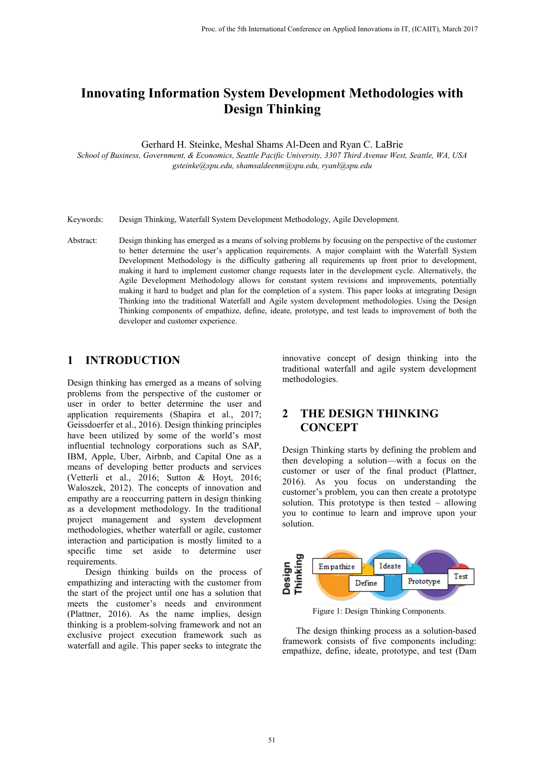# **Innovating Information System Development Methodologies with Design Thinking**

Gerhard H. Steinke, Meshal Shams Al-Deen and Ryan C. LaBrie

*School of Business, Government, & Economics, Seattle Pacific University, 3307 Third Avenue West, Seattle, WA, USA gsteinke@spu.edu, shamsaldeenm@spu.edu, ryanl@spu.edu*

- Keywords: Design Thinking, Waterfall System Development Methodology, Agile Development.
- Abstract: Design thinking has emerged as a means of solving problems by focusing on the perspective of the customer to better determine the user's application requirements. A major complaint with the Waterfall System Development Methodology is the difficulty gathering all requirements up front prior to development, making it hard to implement customer change requests later in the development cycle. Alternatively, the Agile Development Methodology allows for constant system revisions and improvements, potentially making it hard to budget and plan for the completion of a system. This paper looks at integrating Design Thinking into the traditional Waterfall and Agile system development methodologies. Using the Design Thinking components of empathize, define, ideate, prototype, and test leads to improvement of both the developer and customer experience.

## **1 INTRODUCTION**

Design thinking has emerged as a means of solving problems from the perspective of the customer or user in order to better determine the user and application requirements (Shapira et al., 2017; Geissdoerfer et al., 2016). Design thinking principles have been utilized by some of the world's most influential technology corporations such as SAP, IBM, Apple, Uber, Airbnb, and Capital One as a means of developing better products and services (Vetterli et al., 2016; Sutton & Hoyt, 2016; Waloszek, 2012). The concepts of innovation and empathy are a reoccurring pattern in design thinking as a development methodology. In the traditional project management and system development methodologies, whether waterfall or agile, customer interaction and participation is mostly limited to a specific time set aside to determine user requirements.

Design thinking builds on the process of empathizing and interacting with the customer from the start of the project until one has a solution that meets the customer's needs and environment (Plattner, 2016). As the name implies, design thinking is a problem-solving framework and not an exclusive project execution framework such as waterfall and agile. This paper seeks to integrate the

innovative concept of design thinking into the traditional waterfall and agile system development methodologies.

#### **2 THE DESIGN THINKING CONCEPT**

Design Thinking starts by defining the problem and then developing a solution—with a focus on the customer or user of the final product (Plattner, 2016). As you focus on understanding the customer's problem, you can then create a prototype solution. This prototype is then tested – allowing you to continue to learn and improve upon your solution.



Figure 1: Design Thinking Components.

The design thinking process as a solution-based framework consists of five components including: empathize, define, ideate, prototype, and test (Dam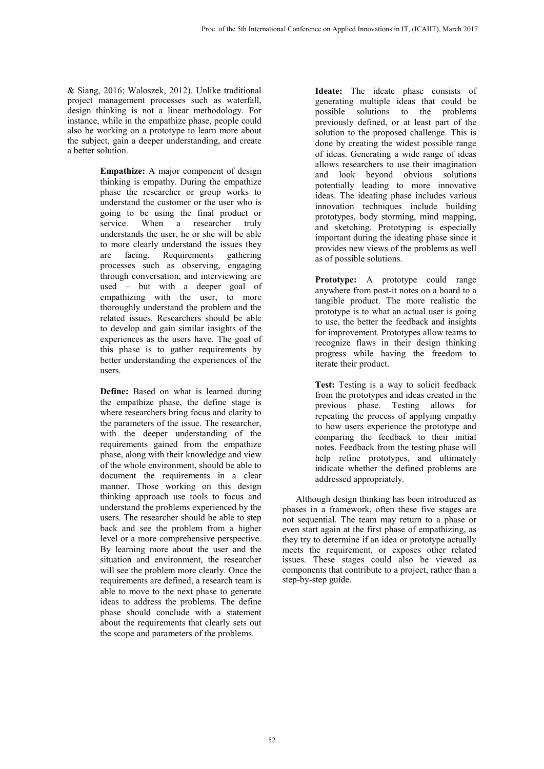& Siang, 2016; Waloszek, 2012). Unlike traditional project management processes such as waterfall, design thinking is not a linear methodology. For instance, while in the empathize phase, people could also be working on a prototype to learn more about the subject, gain a deeper understanding, and create a better solution.

> **Empathize:** A major component of design thinking is empathy. During the empathize phase the researcher or group works to understand the customer or the user who is going to be using the final product or service. When a researcher truly understands the user, he or she will be able to more clearly understand the issues they are facing. Requirements gathering processes such as observing, engaging through conversation, and interviewing are used – but with a deeper goal of empathizing with the user, to more thoroughly understand the problem and the related issues. Researchers should be able to develop and gain similar insights of the experiences as the users have. The goal of this phase is to gather requirements by better understanding the experiences of the users.

> **Define:** Based on what is learned during the empathize phase, the define stage is where researchers bring focus and clarity to the parameters of the issue. The researcher, with the deeper understanding of the requirements gained from the empathize phase, along with their knowledge and view of the whole environment, should be able to document the requirements in a clear manner. Those working on this design thinking approach use tools to focus and understand the problems experienced by the users. The researcher should be able to step back and see the problem from a higher level or a more comprehensive perspective. By learning more about the user and the situation and environment, the researcher will see the problem more clearly. Once the requirements are defined, a research team is able to move to the next phase to generate ideas to address the problems. The define phase should conclude with a statement about the requirements that clearly sets out the scope and parameters of the problems.

**Ideate:** The ideate phase consists of generating multiple ideas that could be possible solutions to the problems previously defined, or at least part of the solution to the proposed challenge. This is done by creating the widest possible range of ideas. Generating a wide range of ideas allows researchers to use their imagination and look beyond obvious solutions potentially leading to more innovative ideas. The ideating phase includes various innovation techniques include building prototypes, body storming, mind mapping, and sketching. Prototyping is especially important during the ideating phase since it provides new views of the problems as well as of possible solutions.

**Prototype:** A prototype could range anywhere from post-it notes on a board to a tangible product. The more realistic the prototype is to what an actual user is going to use, the better the feedback and insights for improvement. Prototypes allow teams to recognize flaws in their design thinking progress while having the freedom to iterate their product.

**Test:** Testing is a way to solicit feedback from the prototypes and ideas created in the previous phase. Testing allows for repeating the process of applying empathy to how users experience the prototype and comparing the feedback to their initial notes. Feedback from the testing phase will help refine prototypes, and ultimately indicate whether the defined problems are addressed appropriately.

Although design thinking has been introduced as phases in a framework, often these five stages are not sequential. The team may return to a phase or even start again at the first phase of empathizing, as they try to determine if an idea or prototype actually meets the requirement, or exposes other related issues. These stages could also be viewed as components that contribute to a project, rather than a step-by-step guide.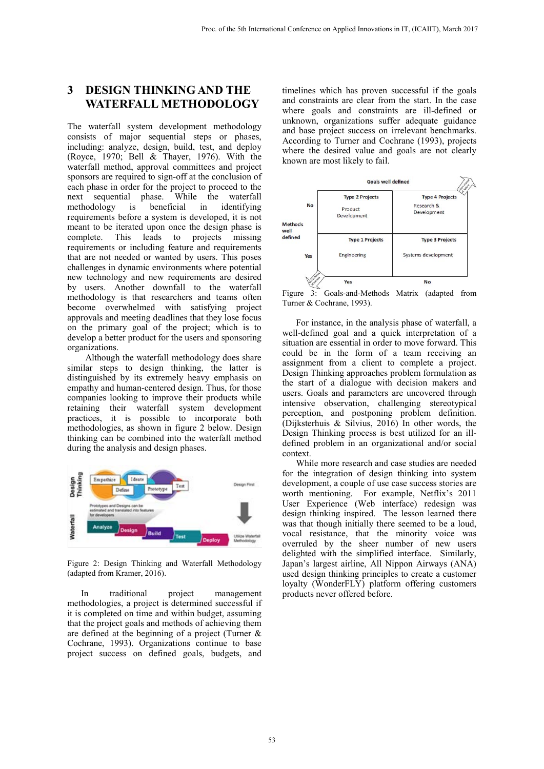## **3 DESIGN THINKING AND THE WATERFALL METHODOLOGY**

The waterfall system development methodology consists of major sequential steps or phases, including: analyze, design, build, test, and deploy (Royce, 1970; Bell & Thayer, 1976). With the waterfall method, approval committees and project sponsors are required to sign-off at the conclusion of each phase in order for the project to proceed to the next sequential phase. While the waterfall methodology is beneficial in identifying requirements before a system is developed, it is not meant to be iterated upon once the design phase is complete. This leads to projects missing This leads to projects missing requirements or including feature and requirements that are not needed or wanted by users. This poses challenges in dynamic environments where potential new technology and new requirements are desired by users. Another downfall to the waterfall methodology is that researchers and teams often become overwhelmed with satisfying project approvals and meeting deadlines that they lose focus on the primary goal of the project; which is to develop a better product for the users and sponsoring organizations.

Although the waterfall methodology does share similar steps to design thinking, the latter is distinguished by its extremely heavy emphasis on empathy and human-centered design. Thus, for those companies looking to improve their products while retaining their waterfall system development practices, it is possible to incorporate both methodologies, as shown in figure 2 below. Design thinking can be combined into the waterfall method during the analysis and design phases.



Figure 2: Design Thinking and Waterfall Methodology (adapted from Kramer, 2016).

In traditional project management methodologies, a project is determined successful if it is completed on time and within budget, assuming that the project goals and methods of achieving them are defined at the beginning of a project (Turner & Cochrane, 1993). Organizations continue to base project success on defined goals, budgets, and

timelines which has proven successful if the goals and constraints are clear from the start. In the case where goals and constraints are ill-defined or unknown, organizations suffer adequate guidance and base project success on irrelevant benchmarks. According to Turner and Cochrane (1993), projects where the desired value and goals are not clearly known are most likely to fail.



Figure 3: Goals-and-Methods Matrix (adapted from Turner & Cochrane, 1993).

For instance, in the analysis phase of waterfall, a well-defined goal and a quick interpretation of a situation are essential in order to move forward. This could be in the form of a team receiving an assignment from a client to complete a project. Design Thinking approaches problem formulation as the start of a dialogue with decision makers and users. Goals and parameters are uncovered through intensive observation, challenging stereotypical perception, and postponing problem definition. (Dijksterhuis & Silvius, 2016) In other words, the Design Thinking process is best utilized for an illdefined problem in an organizational and/or social context.

While more research and case studies are needed for the integration of design thinking into system development, a couple of use case success stories are worth mentioning. For example, Netflix's 2011 User Experience (Web interface) redesign was design thinking inspired. The lesson learned there was that though initially there seemed to be a loud, vocal resistance, that the minority voice was overruled by the sheer number of new users delighted with the simplified interface. Similarly, Japan's largest airline, All Nippon Airways (ANA) used design thinking principles to create a customer loyalty (WonderFLY) platform offering customers products never offered before.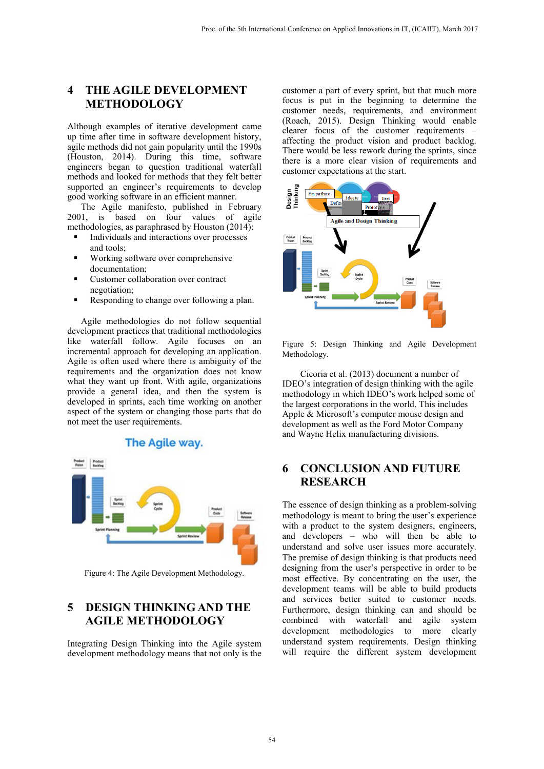## **4 THE AGILE DEVELOPMENT METHODOLOGY**

Although examples of iterative development came up time after time in software development history, agile methods did not gain popularity until the 1990s (Houston, 2014). During this time, software engineers began to question traditional waterfall methods and looked for methods that they felt better supported an engineer's requirements to develop good working software in an efficient manner.

The Agile manifesto, published in February 2001, is based on four values of agile methodologies, as paraphrased by Houston (2014):

- Individuals and interactions over processes and tools;
- Working software over comprehensive documentation;
- Customer collaboration over contract negotiation;
- Responding to change over following a plan.

Agile methodologies do not follow sequential development practices that traditional methodologies like waterfall follow. Agile focuses on an incremental approach for developing an application. Agile is often used where there is ambiguity of the requirements and the organization does not know what they want up front. With agile, organizations provide a general idea, and then the system is developed in sprints, each time working on another aspect of the system or changing those parts that do not meet the user requirements.



Figure 4: The Agile Development Methodology.

#### **5 DESIGN THINKING AND THE AGILE METHODOLOGY**

Integrating Design Thinking into the Agile system development methodology means that not only is the

customer a part of every sprint, but that much more focus is put in the beginning to determine the customer needs, requirements, and environment (Roach, 2015). Design Thinking would enable clearer focus of the customer requirements – affecting the product vision and product backlog. There would be less rework during the sprints, since there is a more clear vision of requirements and customer expectations at the start.



Figure 5: Design Thinking and Agile Development Methodology.

Cicoria et al. (2013) document a number of IDEO's integration of design thinking with the agile methodology in which IDEO's work helped some of the largest corporations in the world. This includes Apple & Microsoft's computer mouse design and development as well as the Ford Motor Company and Wayne Helix manufacturing divisions.

## **6 CONCLUSION AND FUTURE RESEARCH**

The essence of design thinking as a problem-solving methodology is meant to bring the user's experience with a product to the system designers, engineers, and developers – who will then be able to understand and solve user issues more accurately. The premise of design thinking is that products need designing from the user's perspective in order to be most effective. By concentrating on the user, the development teams will be able to build products and services better suited to customer needs. Furthermore, design thinking can and should be combined with waterfall and agile system development methodologies to more clearly understand system requirements. Design thinking will require the different system development